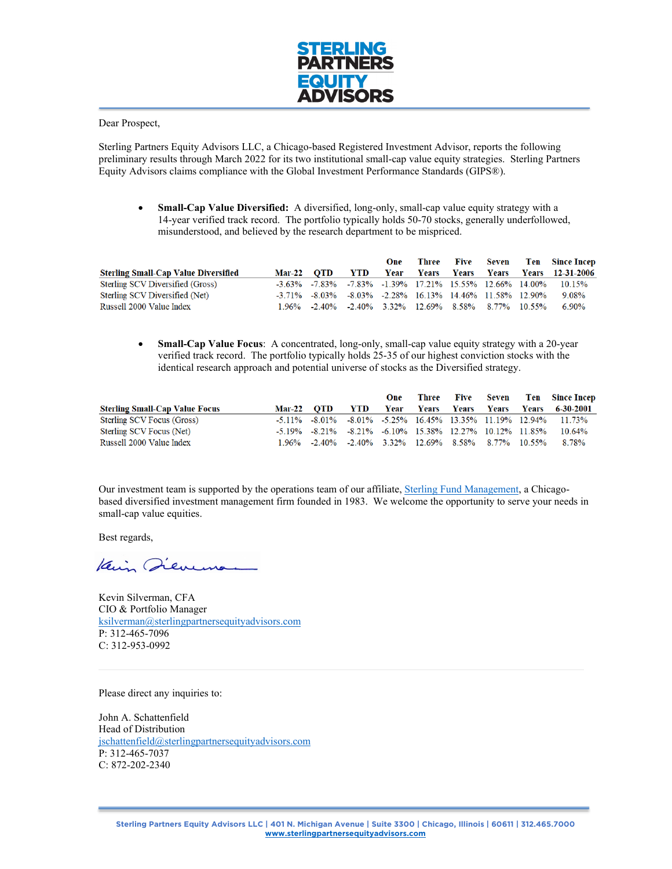

Dear Prospect,

Sterling Partners Equity Advisors LLC, a Chicago-based Registered Investment Advisor, reports the following preliminary results through March 2022 for its two institutional small-cap value equity strategies. Sterling Partners Equity Advisors claims compliance with the Global Investment Performance Standards (GIPS®).

• **Small-Cap Value Diversified:** A diversified, long-only, small-cap value equity strategy with a 14-year verified track record. The portfolio typically holds 50-70 stocks, generally underfollowed, misunderstood, and believed by the research department to be mispriced.

|                                             |            |                                                     | One |  |  | Three Five Seven Ten Since-Incep                                          |
|---------------------------------------------|------------|-----------------------------------------------------|-----|--|--|---------------------------------------------------------------------------|
| <b>Sterling Small-Cap Value Diversified</b> | Mar-22 OTD |                                                     |     |  |  | YTD Year Years Years Years Years 12-31-2006                               |
| Sterling SCV Diversified (Gross)            |            |                                                     |     |  |  | -3.63% -7.83% -7.83% -1.39% 17.21% 15.55% 12.66% 14.00% 10.15%            |
| Sterling SCV Diversified (Net)              |            |                                                     |     |  |  | $-3.71\%$ $-8.03\%$ $-8.03\%$ $-2.28\%$ 16.13% 14.46% 11.58% 12.90% 9.08% |
| Russell 2000 Value Index                    |            | 1.96% -2.40% -2.40% 3.32% 12.69% 8.58% 8.77% 10.55% |     |  |  | $6.90\%$                                                                  |

• **Small-Cap Value Focus**: A concentrated, long-only, small-cap value equity strategy with a 20-year verified track record. The portfolio typically holds 25-35 of our highest conviction stocks with the identical research approach and potential universe of stocks as the Diversified strategy.

|                                       |            |                                                                                 |            | One |  |  | Three Five Seven Ten Since Incep                                                          |
|---------------------------------------|------------|---------------------------------------------------------------------------------|------------|-----|--|--|-------------------------------------------------------------------------------------------|
| <b>Sterling Small-Cap Value Focus</b> | Mar-22 OTD |                                                                                 | <b>YTD</b> |     |  |  | Year Years Years Years Years 6-30-2001                                                    |
| Sterling SCV Focus (Gross)            |            |                                                                                 |            |     |  |  | $-5.11\%$ $-8.01\%$ $-8.01\%$ $-5.25\%$ $16.45\%$ $13.35\%$ $11.19\%$ $12.94\%$ $11.73\%$ |
| Sterling SCV Focus (Net)              |            | $-5.19\%$ $-8.21\%$ $-8.21\%$ $-6.10\%$ $15.38\%$ $12.27\%$ $10.12\%$ $11.85\%$ |            |     |  |  | 10.64%                                                                                    |
| Russell 2000 Value Index              |            | 1.96% -2.40% -2.40% 3.32% 12.69% 8.58% 8.77% 10.55%                             |            |     |  |  | 8.78%                                                                                     |

Our investment team is supported by the operations team of our affiliate, [Sterling Fund Management,](https://www.sterlingpartners.com/) a Chicagobased diversified investment management firm founded in 1983. We welcome the opportunity to serve your needs in small-cap value equities.

Best regards,

Kain Dievens

Kevin Silverman, CFA CIO & Portfolio Manager [ksilverman@sterlingpartnersequityadvisors.com](mailto:ksilverman@sterlingpartnersequityadvisors.com) P: 312-465-7096 C: 312-953-0992

Please direct any inquiries to:

John A. Schattenfield Head of Distribution [jschattenfield@sterlingpartnersequityadvisors.com](mailto:jschattenfield@sterlingpartnersequityadvisors.com)  P: 312-465-7037 C: 872-202-2340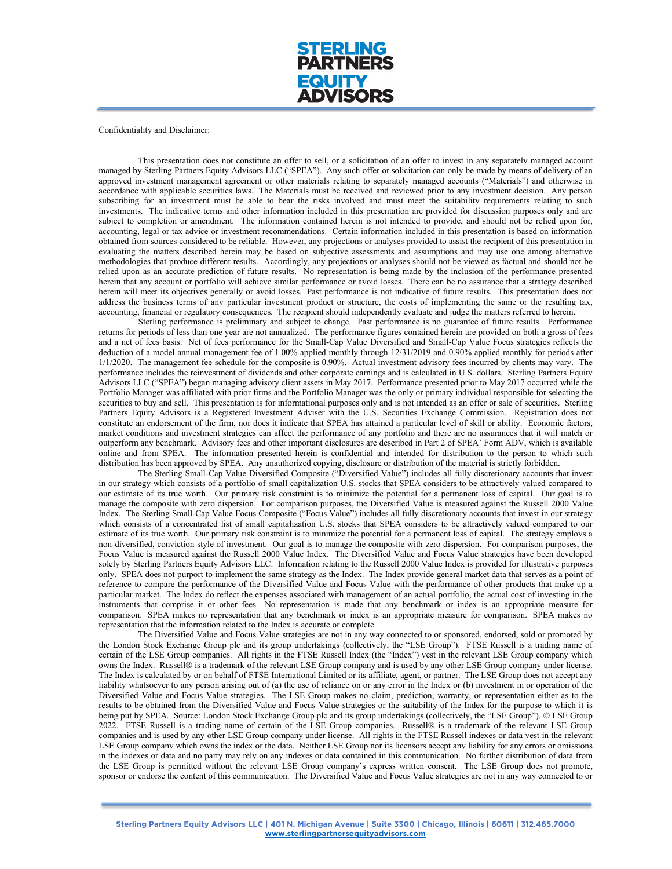

Confidentiality and Disclaimer:

This presentation does not constitute an offer to sell, or a solicitation of an offer to invest in any separately managed account managed by Sterling Partners Equity Advisors LLC ("SPEA"). Any such offer or solicitation can only be made by means of delivery of an approved investment management agreement or other materials relating to separately managed accounts ("Materials") and otherwise in accordance with applicable securities laws. The Materials must be received and reviewed prior to any investment decision. Any person subscribing for an investment must be able to bear the risks involved and must meet the suitability requirements relating to such investments. The indicative terms and other information included in this presentation are provided for discussion purposes only and are subject to completion or amendment. The information contained herein is not intended to provide, and should not be relied upon for, accounting, legal or tax advice or investment recommendations. Certain information included in this presentation is based on information obtained from sources considered to be reliable. However, any projections or analyses provided to assist the recipient of this presentation in evaluating the matters described herein may be based on subjective assessments and assumptions and may use one among alternative methodologies that produce different results. Accordingly, any projections or analyses should not be viewed as factual and should not be relied upon as an accurate prediction of future results. No representation is being made by the inclusion of the performance presented herein that any account or portfolio will achieve similar performance or avoid losses. There can be no assurance that a strategy described herein will meet its objectives generally or avoid losses. Past performance is not indicative of future results. This presentation does not address the business terms of any particular investment product or structure, the costs of implementing the same or the resulting tax, accounting, financial or regulatory consequences. The recipient should independently evaluate and judge the matters referred to herein.

Sterling performance is preliminary and subject to change. Past performance is no guarantee of future results. Performance returns for periods of less than one year are not annualized. The performance figures contained herein are provided on both a gross of fees and a net of fees basis. Net of fees performance for the Small-Cap Value Diversified and Small-Cap Value Focus strategies reflects the deduction of a model annual management fee of 1.00% applied monthly through 12/31/2019 and 0.90% applied monthly for periods after 1/1/2020. The management fee schedule for the composite is 0.90%. Actual investment advisory fees incurred by clients may vary. The performance includes the reinvestment of dividends and other corporate earnings and is calculated in U.S. dollars. Sterling Partners Equity Advisors LLC ("SPEA") began managing advisory client assets in May 2017. Performance presented prior to May 2017 occurred while the Portfolio Manager was affiliated with prior firms and the Portfolio Manager was the only or primary individual responsible for selecting the securities to buy and sell. This presentation is for informational purposes only and is not intended as an offer or sale of securities. Sterling Partners Equity Advisors is a Registered Investment Adviser with the U.S. Securities Exchange Commission. Registration does not constitute an endorsement of the firm, nor does it indicate that SPEA has attained a particular level of skill or ability. Economic factors, market conditions and investment strategies can affect the performance of any portfolio and there are no assurances that it will match or outperform any benchmark. Advisory fees and other important disclosures are described in Part 2 of SPEA' Form ADV, which is available online and from SPEA. The information presented herein is confidential and intended for distribution to the person to which such distribution has been approved by SPEA. Any unauthorized copying, disclosure or distribution of the material is strictly forbidden.

The Sterling Small-Cap Value Diversified Composite ("Diversified Value") includes all fully discretionary accounts that invest in our strategy which consists of a portfolio of small capitalization U.S. stocks that SPEA considers to be attractively valued compared to our estimate of its true worth. Our primary risk constraint is to minimize the potential for a permanent loss of capital. Our goal is to manage the composite with zero dispersion. For comparison purposes, the Diversified Value is measured against the Russell 2000 Value Index. The Sterling Small‐Cap Value Focus Composite ("Focus Value") includes all fully discretionary accounts that invest in our strategy which consists of a concentrated list of small capitalization U.S. stocks that SPEA considers to be attractively valued compared to our estimate of its true worth. Our primary risk constraint is to minimize the potential for a permanent loss of capital. The strategy employs a non‐diversified, conviction style of investment. Our goal is to manage the composite with zero dispersion. For comparison purposes, the Focus Value is measured against the Russell 2000 Value Index. The Diversified Value and Focus Value strategies have been developed solely by Sterling Partners Equity Advisors LLC. Information relating to the Russell 2000 Value Index is provided for illustrative purposes only. SPEA does not purport to implement the same strategy as the Index. The Index provide general market data that serves as a point of reference to compare the performance of the Diversified Value and Focus Value with the performance of other products that make up a particular market. The Index do reflect the expenses associated with management of an actual portfolio, the actual cost of investing in the instruments that comprise it or other fees. No representation is made that any benchmark or index is an appropriate measure for comparison. SPEA makes no representation that any benchmark or index is an appropriate measure for comparison. SPEA makes no representation that the information related to the Index is accurate or complete.

The Diversified Value and Focus Value strategies are not in any way connected to or sponsored, endorsed, sold or promoted by the London Stock Exchange Group plc and its group undertakings (collectively, the "LSE Group"). FTSE Russell is a trading name of certain of the LSE Group companies. All rights in the FTSE Russell Index (the "Index") vest in the relevant LSE Group company which owns the Index. Russell® is a trademark of the relevant LSE Group company and is used by any other LSE Group company under license. The Index is calculated by or on behalf of FTSE International Limited or its affiliate, agent, or partner. The LSE Group does not accept any liability whatsoever to any person arising out of (a) the use of reliance on or any error in the Index or (b) investment in or operation of the Diversified Value and Focus Value strategies. The LSE Group makes no claim, prediction, warranty, or representation either as to the results to be obtained from the Diversified Value and Focus Value strategies or the suitability of the Index for the purpose to which it is being put by SPEA. Source: London Stock Exchange Group plc and its group undertakings (collectively, the "LSE Group"). © LSE Group 2022. FTSE Russell is a trading name of certain of the LSE Group companies. Russell® is a trademark of the relevant LSE Group companies and is used by any other LSE Group company under license. All rights in the FTSE Russell indexes or data vest in the relevant LSE Group company which owns the index or the data. Neither LSE Group nor its licensors accept any liability for any errors or omissions in the indexes or data and no party may rely on any indexes or data contained in this communication. No further distribution of data from the LSE Group is permitted without the relevant LSE Group company's express written consent. The LSE Group does not promote, sponsor or endorse the content of this communication. The Diversified Value and Focus Value strategies are not in any way connected to or